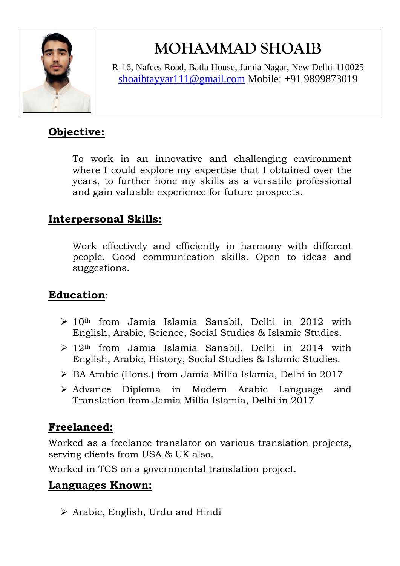

# **MOHAMMAD SHOAIB**

R-16, Nafees Road, Batla House, Jamia Nagar, New Delhi-110025 [shoaibtayyar111@gmail.com](mailto:shoaibtayyar111@gmail.com) Mobile: +91 9899873019

## **Objective:**

To work in an innovative and challenging environment where I could explore my expertise that I obtained over the years, to further hone my skills as a versatile professional and gain valuable experience for future prospects.

### **Interpersonal Skills:**

Work effectively and efficiently in harmony with different people. Good communication skills. Open to ideas and suggestions.

## **Education**:

- $\geq 10$ <sup>th</sup> from Jamia Islamia Sanabil, Delhi in 2012 with English, Arabic, Science, Social Studies & Islamic Studies.
- $\geq 12$ <sup>th</sup> from Jamia Islamia Sanabil, Delhi in 2014 with English, Arabic, History, Social Studies & Islamic Studies.
- BA Arabic (Hons.) from Jamia Millia Islamia, Delhi in 2017
- Advance Diploma in Modern Arabic Language and Translation from Jamia Millia Islamia, Delhi in 2017

## **Freelanced:**

Worked as a freelance translator on various translation projects, serving clients from USA & UK also.

Worked in TCS on a governmental translation project.

#### **Languages Known:**

 $\triangleright$  Arabic, English, Urdu and Hindi